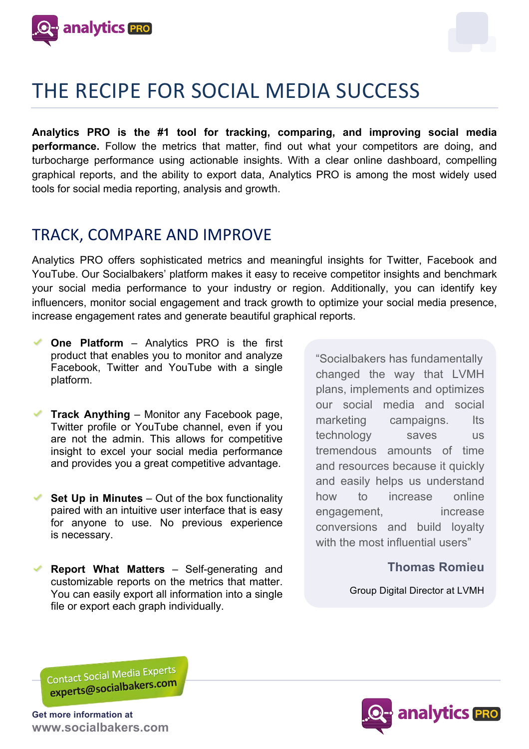



**Analytics PRO is the #1 tool for tracking, comparing, and improving social media performance.** Follow the metrics that matter, find out what your competitors are doing, and turbocharge performance using actionable insights. With a clear online dashboard, compelling graphical reports, and the ability to export data, Analytics PRO is among the most widely used tools for social media reporting, analysis and growth.

## TRACK, COMPARE AND IMPROVE

Analytics PRO offers sophisticated metrics and meaningful insights for Twitter, Facebook and YouTube. Our Socialbakers' platform makes it easy to receive competitor insights and benchmark your social media performance to your industry or region. Additionally, you can identify key influencers, monitor social engagement and track growth to optimize your social media presence, increase engagement rates and generate beautiful graphical reports.

- **One Platform** Analytics PRO is the first product that enables you to monitor and analyze Facebook, Twitter and YouTube with a single platform.
- **Track Anything** Monitor any Facebook page, Twitter profile or YouTube channel, even if you are not the admin. This allows for competitive insight to excel your social media performance and provides you a great competitive advantage.
- **Set Up in Minutes** Out of the box functionality paired with an intuitive user interface that is easy for anyone to use. No previous experience is necessary.
- **Report What Matters** Self-generating and customizable reports on the metrics that matter. You can easily export all information into a single file or export each graph individually.

"Socialbakers has fundamentally changed the way that LVMH plans, implements and optimizes our social media and social marketing campaigns. Its technology saves us tremendous amounts of time and resources because it quickly and easily helps us understand how to increase online engagement, increase conversions and build loyalty with the most influential users"

### **Thomas Romieu**

Group Digital Director at LVMH

Contact Social Media Experts Contact Social Integral Prices

**Get more information at www.socialbakers.com**

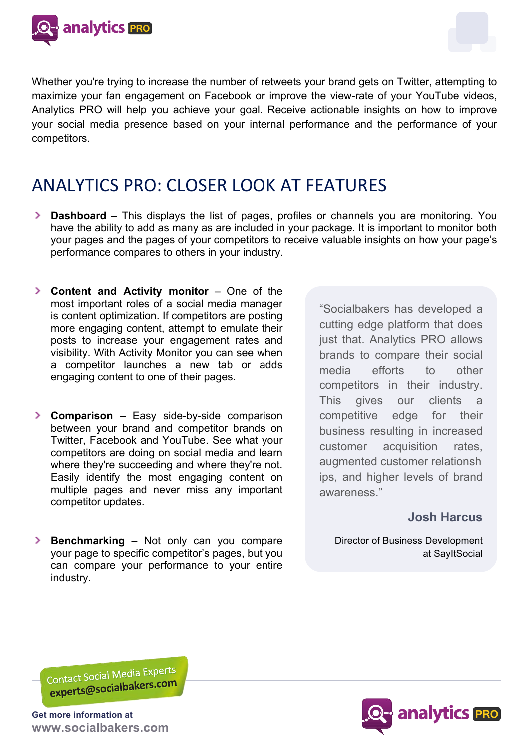

Whether you're trying to increase the number of retweets your brand gets on Twitter, attempting to maximize your fan engagement on Facebook or improve the view-rate of your YouTube videos, Analytics PRO will help you achieve your goal. Receive actionable insights on how to improve your social media presence based on your internal performance and the performance of your competitors.

# ANALYTICS PRO: CLOSER LOOK AT FEATURES

- **Dashboard** This displays the list of pages, profiles or channels you are monitoring. You have the ability to add as many as are included in your package. It is important to monitor both your pages and the pages of your competitors to receive valuable insights on how your page's performance compares to others in your industry.
- **Content and Activity monitor** One of the most important roles of a social media manager is content optimization. If competitors are posting more engaging content, attempt to emulate their posts to increase your engagement rates and visibility. With Activity Monitor you can see when a competitor launches a new tab or adds engaging content to one of their pages.
- **Comparison** Easy side-by-side comparison between your brand and competitor brands on Twitter, Facebook and YouTube. See what your competitors are doing on social media and learn where they're succeeding and where they're not. Easily identify the most engaging content on multiple pages and never miss any important competitor updates.

"Socialbakers has developed a cutting edge platform that does just that. Analytics PRO allows brands to compare their social media efforts to other competitors in their industry. This gives our clients a competitive edge for their business resulting in increased customer acquisition rates, augmented customer relationsh ips, and higher levels of brand awareness."

### **Josh Harcus**

Director of Business Development at SayItSocial

**Benchmarking** – Not only can you compare your page to specific competitor's pages, but you can compare your performance to your entire industry.

Contact Social Media Experts Contact Social Iviedia Diversion